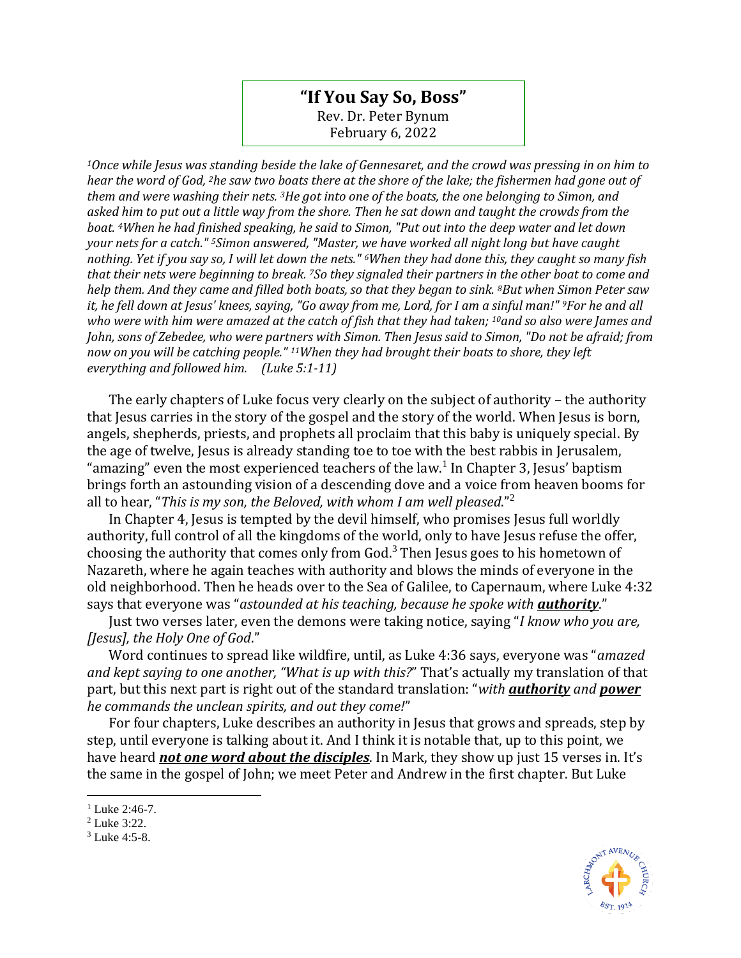## **"If You Say So, Boss"** Rev. Dr. Peter Bynum February 6, 2022

*<sup>1</sup>Once while Jesus was standing beside the lake of Gennesaret, and the crowd was pressing in on him to hear the word of God, <sup>2</sup>he saw two boats there at the shore of the lake; the fishermen had gone out of them and were washing their nets. <sup>3</sup>He got into one of the boats, the one belonging to Simon, and asked him to put out a little way from the shore. Then he sat down and taught the crowds from the boat. <sup>4</sup>When he had finished speaking, he said to Simon, "Put out into the deep water and let down your nets for a catch." <sup>5</sup>Simon answered, "Master, we have worked all night long but have caught nothing. Yet if you say so, I will let down the nets." <sup>6</sup>When they had done this, they caught so many fish that their nets were beginning to break. <sup>7</sup>So they signaled their partners in the other boat to come and help them. And they came and filled both boats, so that they began to sink. <sup>8</sup>But when Simon Peter saw it, he fell down at Jesus' knees, saying, "Go away from me, Lord, for I am a sinful man!" <sup>9</sup>For he and all who were with him were amazed at the catch of fish that they had taken; <sup>10</sup>and so also were James and John, sons of Zebedee, who were partners with Simon. Then Jesus said to Simon, "Do not be afraid; from now on you will be catching people." <sup>11</sup>When they had brought their boats to shore, they left everything and followed him. (Luke 5:1-11)*

The early chapters of Luke focus very clearly on the subject of authority – the authority that Jesus carries in the story of the gospel and the story of the world. When Jesus is born, angels, shepherds, priests, and prophets all proclaim that this baby is uniquely special. By the age of twelve, Jesus is already standing toe to toe with the best rabbis in Jerusalem, "amazing" even the most experienced teachers of the law.<sup>1</sup> In Chapter 3, Jesus' baptism brings forth an astounding vision of a descending dove and a voice from heaven booms for all to hear, "*This is my son, the Beloved, with whom I am well pleased*." 2

In Chapter 4, Jesus is tempted by the devil himself, who promises Jesus full worldly authority, full control of all the kingdoms of the world, only to have Jesus refuse the offer, choosing the authority that comes only from God.<sup>3</sup> Then Jesus goes to his hometown of Nazareth, where he again teaches with authority and blows the minds of everyone in the old neighborhood. Then he heads over to the Sea of Galilee, to Capernaum, where Luke 4:32 says that everyone was "*astounded at his teaching, because he spoke with authority*."

Just two verses later, even the demons were taking notice, saying "*I know who you are, [Jesus], the Holy One of God*."

Word continues to spread like wildfire, until, as Luke 4:36 says, everyone was "*amazed and kept saying to one another, "What is up with this?*" That's actually my translation of that part, but this next part is right out of the standard translation: "*with authority and power he commands the unclean spirits, and out they come!*"

For four chapters, Luke describes an authority in Jesus that grows and spreads, step by step, until everyone is talking about it. And I think it is notable that, up to this point, we have heard *not one word about the disciples*. In Mark, they show up just 15 verses in. It's the same in the gospel of John; we meet Peter and Andrew in the first chapter. But Luke



<sup>&</sup>lt;sup>1</sup> Luke 2:46-7.

<sup>2</sup> Luke 3:22.

<sup>3</sup> Luke 4:5-8.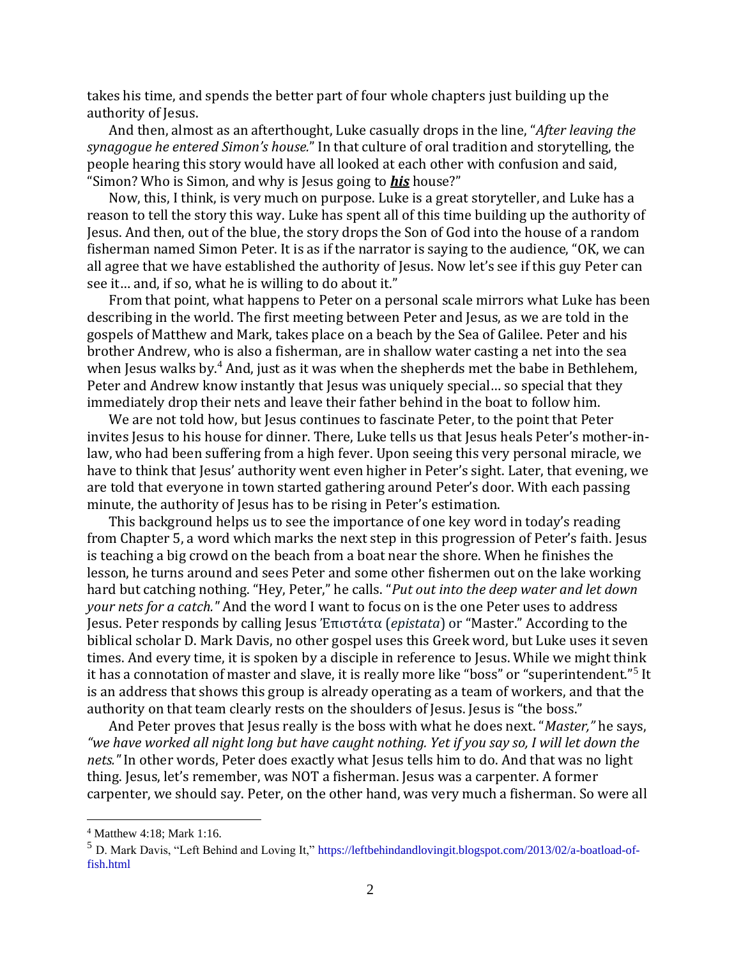takes his time, and spends the better part of four whole chapters just building up the authority of Jesus.

And then, almost as an afterthought, Luke casually drops in the line, "*After leaving the synagogue he entered Simon's house.*" In that culture of oral tradition and storytelling, the people hearing this story would have all looked at each other with confusion and said, "Simon? Who is Simon, and why is Jesus going to *his* house?"

Now, this, I think, is very much on purpose. Luke is a great storyteller, and Luke has a reason to tell the story this way. Luke has spent all of this time building up the authority of Jesus. And then, out of the blue, the story drops the Son of God into the house of a random fisherman named Simon Peter. It is as if the narrator is saying to the audience, "OK, we can all agree that we have established the authority of Jesus. Now let's see if this guy Peter can see it… and, if so, what he is willing to do about it."

From that point, what happens to Peter on a personal scale mirrors what Luke has been describing in the world. The first meeting between Peter and Jesus, as we are told in the gospels of Matthew and Mark, takes place on a beach by the Sea of Galilee. Peter and his brother Andrew, who is also a fisherman, are in shallow water casting a net into the sea when Jesus walks by.<sup>4</sup> And, just as it was when the shepherds met the babe in Bethlehem, Peter and Andrew know instantly that Jesus was uniquely special… so special that they immediately drop their nets and leave their father behind in the boat to follow him.

We are not told how, but Jesus continues to fascinate Peter, to the point that Peter invites Jesus to his house for dinner. There, Luke tells us that Jesus heals Peter's mother-inlaw, who had been suffering from a high fever. Upon seeing this very personal miracle, we have to think that Jesus' authority went even higher in Peter's sight. Later, that evening, we are told that everyone in town started gathering around Peter's door. With each passing minute, the authority of Jesus has to be rising in Peter's estimation.

This background helps us to see the importance of one key word in today's reading from Chapter 5, a word which marks the next step in this progression of Peter's faith. Jesus is teaching a big crowd on the beach from a boat near the shore. When he finishes the lesson, he turns around and sees Peter and some other fishermen out on the lake working hard but catching nothing. "Hey, Peter," he calls. "*Put out into the deep water and let down your nets for a catch."* And the word I want to focus on is the one Peter uses to address Jesus. Peter responds by calling Jesus Ἐπιστάτα (*epistata*) or "Master." According to the biblical scholar D. Mark Davis, no other gospel uses this Greek word, but Luke uses it seven times. And every time, it is spoken by a disciple in reference to Jesus. While we might think it has a connotation of master and slave, it is really more like "boss" or "superintendent."<sup>5</sup> It is an address that shows this group is already operating as a team of workers, and that the authority on that team clearly rests on the shoulders of Jesus. Jesus is "the boss."

And Peter proves that Jesus really is the boss with what he does next. "*Master,"* he says, *"we have worked all night long but have caught nothing. Yet if you say so, I will let down the nets."* In other words, Peter does exactly what Jesus tells him to do. And that was no light thing. Jesus, let's remember, was NOT a fisherman. Jesus was a carpenter. A former carpenter, we should say. Peter, on the other hand, was very much a fisherman. So were all

<sup>4</sup> Matthew 4:18; Mark 1:16.

<sup>5</sup> D. Mark Davis, "Left Behind and Loving It,[" https://leftbehindandlovingit.blogspot.com/2013/02/a-boatload-of](https://leftbehindandlovingit.blogspot.com/2013/02/a-boatload-of-fish.html)[fish.html](https://leftbehindandlovingit.blogspot.com/2013/02/a-boatload-of-fish.html)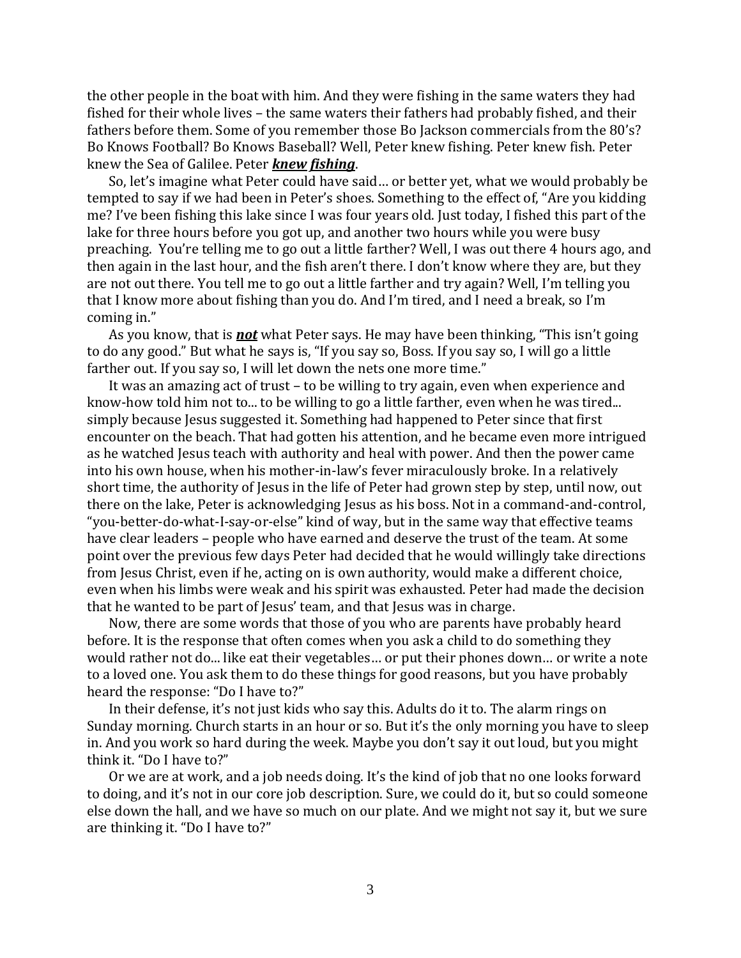the other people in the boat with him. And they were fishing in the same waters they had fished for their whole lives – the same waters their fathers had probably fished, and their fathers before them. Some of you remember those Bo Jackson commercials from the 80's? Bo Knows Football? Bo Knows Baseball? Well, Peter knew fishing. Peter knew fish. Peter knew the Sea of Galilee. Peter *knew fishing*.

So, let's imagine what Peter could have said… or better yet, what we would probably be tempted to say if we had been in Peter's shoes. Something to the effect of, "Are you kidding me? I've been fishing this lake since I was four years old. Just today, I fished this part of the lake for three hours before you got up, and another two hours while you were busy preaching. You're telling me to go out a little farther? Well, I was out there 4 hours ago, and then again in the last hour, and the fish aren't there. I don't know where they are, but they are not out there. You tell me to go out a little farther and try again? Well, I'm telling you that I know more about fishing than you do. And I'm tired, and I need a break, so I'm coming in."

As you know, that is *not* what Peter says. He may have been thinking, "This isn't going to do any good." But what he says is, "If you say so, Boss. If you say so, I will go a little farther out. If you say so, I will let down the nets one more time."

It was an amazing act of trust – to be willing to try again, even when experience and know-how told him not to... to be willing to go a little farther, even when he was tired... simply because Jesus suggested it. Something had happened to Peter since that first encounter on the beach. That had gotten his attention, and he became even more intrigued as he watched Jesus teach with authority and heal with power. And then the power came into his own house, when his mother-in-law's fever miraculously broke. In a relatively short time, the authority of Jesus in the life of Peter had grown step by step, until now, out there on the lake, Peter is acknowledging Jesus as his boss. Not in a command-and-control, "you-better-do-what-I-say-or-else" kind of way, but in the same way that effective teams have clear leaders – people who have earned and deserve the trust of the team. At some point over the previous few days Peter had decided that he would willingly take directions from Jesus Christ, even if he, acting on is own authority, would make a different choice, even when his limbs were weak and his spirit was exhausted. Peter had made the decision that he wanted to be part of Jesus' team, and that Jesus was in charge.

Now, there are some words that those of you who are parents have probably heard before. It is the response that often comes when you ask a child to do something they would rather not do... like eat their vegetables… or put their phones down… or write a note to a loved one. You ask them to do these things for good reasons, but you have probably heard the response: "Do I have to?"

In their defense, it's not just kids who say this. Adults do it to. The alarm rings on Sunday morning. Church starts in an hour or so. But it's the only morning you have to sleep in. And you work so hard during the week. Maybe you don't say it out loud, but you might think it. "Do I have to?"

Or we are at work, and a job needs doing. It's the kind of job that no one looks forward to doing, and it's not in our core job description. Sure, we could do it, but so could someone else down the hall, and we have so much on our plate. And we might not say it, but we sure are thinking it. "Do I have to?"